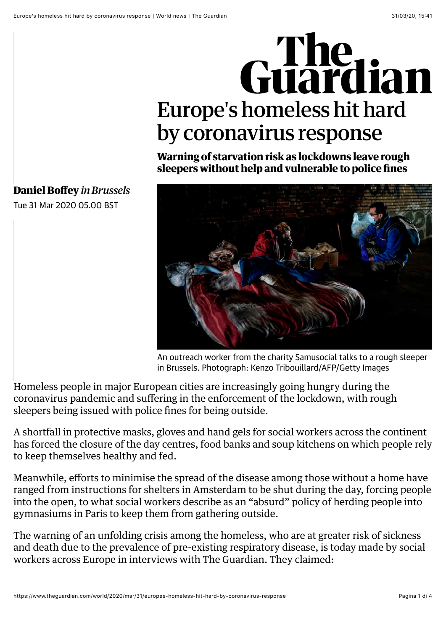## Guardian Europe's homeless hit hard by coronavirus response

**Warning of starvation risk as lockdowns leave rough sleepers without help and vulnerable to police fines**



**[Daniel Boffey](https://www.theguardian.com/profile/daniel-boffey)** *in Brussels*

Tue 31 Mar 2020 05.00 BST

An outreach worker from the charity Samusocial talks to a rough sleeper in Brussels. Photograph: Kenzo Tribouillard/AFP/Getty Images

Homeless people in major European cities are increasingly going hungry during the coronavirus pandemic and suffering in the enforcement of the lockdown, with rough sleepers being issued with police fines for being outside.

A shortfall in protective masks, gloves and hand gels for social workers across the continent has forced the closure of the day centres, food banks and soup kitchens on which people rely to keep themselves healthy and fed.

Meanwhile, efforts to minimise the spread of the disease among those without a home have ranged from instructions for shelters in Amsterdam to be shut during the day, forcing people into the open, to what social workers describe as an "absurd" policy of herding people into gymnasiums in Paris to keep them from gathering outside.

The warning of an unfolding crisis among the homeless, who are at greater risk of sickness and death due to the prevalence of pre-existing respiratory disease, is today made by social workers across [Europe](https://www.theguardian.com/world/europe-news) in interviews with The Guardian. They claimed: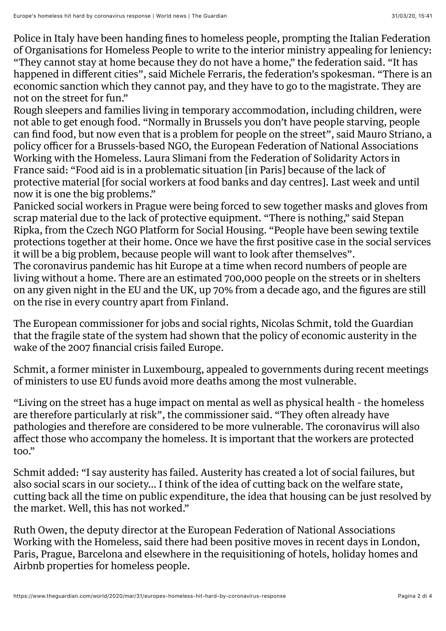Police in Italy have been handing fines to homeless people, prompting the Italian Federation of Organisations for Homeless People to write to the interior ministry appealing for leniency: "They cannot stay at home because they do not have a home," the federation said. "It has happened in different cities", said Michele Ferraris, the federation's spokesman. "There is an economic sanction which they cannot pay, and they have to go to the magistrate. They are not on the street for fun."

Rough sleepers and families living in temporary accommodation, including children, were not able to get enough food. "Normally in Brussels you don't have people starving, people can find food, but now even that is a problem for people on the street", said Mauro Striano, a policy officer for a Brussels-based NGO, the European Federation of National Associations Working with the Homeless. Laura Slimani from the Federation of Solidarity Actors in France said: "Food aid is in a problematic situation [in Paris] because of the lack of protective material [for social workers at food banks and day centres]. Last week and until now it is one the big problems."

The coronavirus pandemic has hit Europe at a time when record numbers of people are living without a home. There are an estimated 700,000 people on the streets or in shelters on any given night in the EU and the UK, up 70% from a decade ago, and the figures are still on the rise in every country apart from Finland. Panicked social workers in Prague were being forced to sew together masks and gloves from scrap material due to the lack of protective equipment. "There is nothing," said Stepan Ripka, from the Czech NGO Platform for Social Housing. "People have been sewing textile protections together at their home. Once we have the first positive case in the social services it will be a big problem, because people will want to look after themselves".

The European commissioner for jobs and social rights, Nicolas Schmit, told the Guardian that the fragile state of the system had shown that the policy of economic austerity in the wake of the 2007 financial crisis failed Europe.

Schmit, a former minister in Luxembourg, appealed to governments during recent meetings of ministers to use EU funds avoid more deaths among the most vulnerable.

"Living on the street has a huge impact on mental as well as physical health – the homeless are therefore particularly at risk", the commissioner said. "They often already have pathologies and therefore are considered to be more vulnerable. The coronavirus will also affect those who accompany the homeless. It is important that the workers are protected too."

Schmit added: "I say austerity has failed. Austerity has created a lot of social failures, but also social scars in our society… I think of the idea of cutting back on the welfare state, cutting back all the time on public expenditure, the idea that housing can be just resolved by the market. Well, this has not worked."

Ruth Owen, the deputy director at the European Federation of National Associations Working with the Homeless, said there had been positive moves in recent days in London, Paris, Prague, Barcelona and elsewhere in the requisitioning of hotels, holiday homes and Airbnb properties for homeless people.